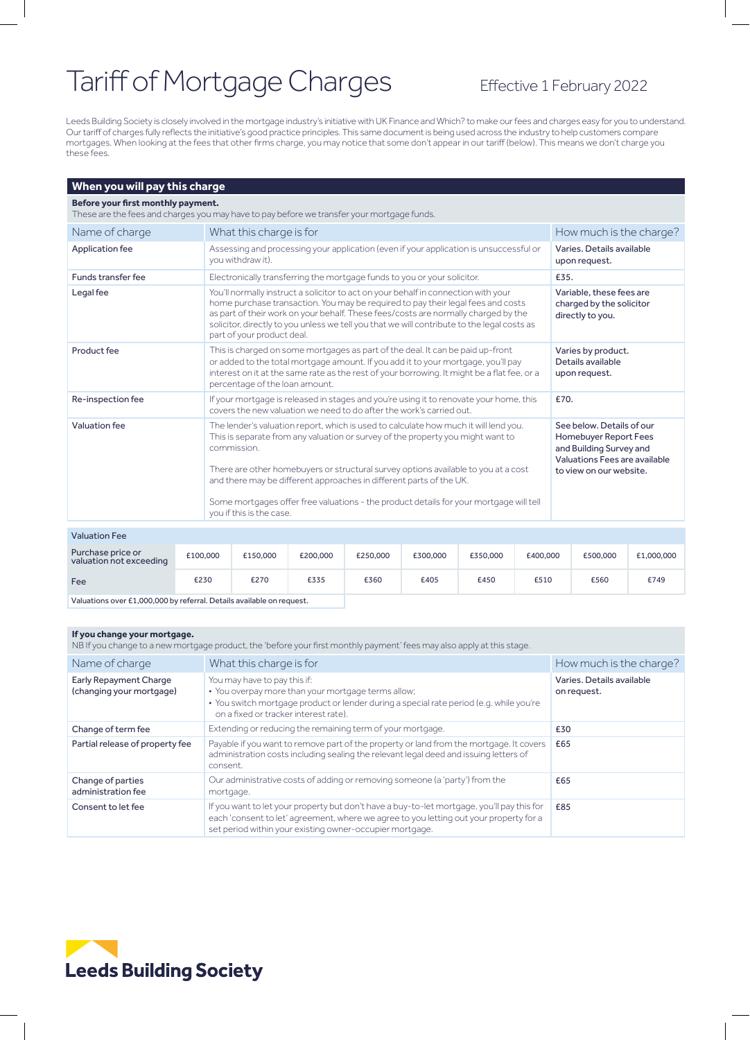# Tariff of Mortgage Charges Effective 1 February 2022

Leeds Building Society is closely involved in the mortgage industry's initiative with UK Finance and Which? to make our fees and charges easy for you to understand. Our tariff of charges fully reflects the initiative's good practice principles. This same document is being used across the industry to help customers compare mortgages. When looking at the fees that other firms charge, you may notice that some don't appear in our tariff (below). This means we don't charge you these fees.

### **When you will pay this charge**

#### **Before your first monthly payment.**

These are the fees and charges you may have to pay before we transfer your mortgage funds.

| Name of charge     | What this charge is for                                                                                                                                                                                                                                                                                                                                                                                                                                                   | How much is the charge?                                                                                                                   |
|--------------------|---------------------------------------------------------------------------------------------------------------------------------------------------------------------------------------------------------------------------------------------------------------------------------------------------------------------------------------------------------------------------------------------------------------------------------------------------------------------------|-------------------------------------------------------------------------------------------------------------------------------------------|
| Application fee    | Assessing and processing your application (even if your application is unsuccessful or<br>you withdraw it).                                                                                                                                                                                                                                                                                                                                                               | Varies, Details available<br>upon request.                                                                                                |
| Funds transfer fee | Electronically transferring the mortgage funds to you or your solicitor.                                                                                                                                                                                                                                                                                                                                                                                                  | £35.                                                                                                                                      |
| Legal fee          | You'll normally instruct a solicitor to act on your behalf in connection with your<br>home purchase transaction. You may be required to pay their legal fees and costs<br>as part of their work on your behalf. These fees/costs are normally charged by the<br>solicitor, directly to you unless we tell you that we will contribute to the legal costs as<br>part of your product deal.                                                                                 | Variable, these fees are<br>charged by the solicitor<br>directly to you.                                                                  |
| Product fee        | This is charged on some mortgages as part of the deal. It can be paid up-front<br>or added to the total mortgage amount. If you add it to your mortgage, you'll pay<br>interest on it at the same rate as the rest of your borrowing. It might be a flat fee, or a<br>percentage of the loan amount.                                                                                                                                                                      | Varies by product.<br>Details available<br>upon request.                                                                                  |
| Re-inspection fee  | If your mortgage is released in stages and you're using it to renovate your home, this<br>covers the new valuation we need to do after the work's carried out.                                                                                                                                                                                                                                                                                                            | £70.                                                                                                                                      |
| Valuation fee      | The lender's valuation report, which is used to calculate how much it will lend you.<br>This is separate from any valuation or survey of the property you might want to<br>commission.<br>There are other homebuyers or structural survey options available to you at a cost<br>and there may be different approaches in different parts of the UK.<br>Some mortgages offer free valuations - the product details for your mortgage will tell<br>you if this is the case. | See below. Details of our<br>Homebuyer Report Fees<br>and Building Survey and<br>Valuations Fees are available<br>to view on our website. |

### Valuation Fee

| Purchase price or<br>valuation not exceeding | £100,000 | £150,000 | £200,000 | £250,000 | £300,000 | £350,000 | £400,000 | £500,000 | £1,000,000 |
|----------------------------------------------|----------|----------|----------|----------|----------|----------|----------|----------|------------|
| Fee                                          | £230     | £270     | £335     | £360     | £405     | £450     | £510     | £560     | £749       |

Valuations over £1,000,000 by referral. Details available on request.

#### **If you change your mortgage.**

NB If you change to a new mortgage product, the 'before your first monthly payment' fees may also apply at this stage.

| Name of charge                                            | What this charge is for                                                                                                                                                                                                                          | How much is the charge?                  |
|-----------------------------------------------------------|--------------------------------------------------------------------------------------------------------------------------------------------------------------------------------------------------------------------------------------------------|------------------------------------------|
| <b>Early Repayment Charge</b><br>(changing your mortgage) | You may have to pay this if:<br>• You overpay more than your mortgage terms allow;<br>• You switch mortgage product or lender during a special rate period (e.g. while you're<br>on a fixed or tracker interest rate).                           | Varies, Details available<br>on request. |
| Change of term fee                                        | Extending or reducing the remaining term of your mortgage.                                                                                                                                                                                       | £30                                      |
| Partial release of property fee                           | Payable if you want to remove part of the property or land from the mortgage. It covers<br>administration costs including sealing the relevant legal deed and issuing letters of<br>consent.                                                     | £65                                      |
| Change of parties<br>administration fee                   | Our administrative costs of adding or removing someone (a 'party') from the<br>mortgage.                                                                                                                                                         | £65                                      |
| Consent to let fee                                        | If you want to let your property but don't have a buy-to-let mortgage, you'll pay this for<br>each 'consent to let' agreement, where we agree to you letting out your property for a<br>set period within your existing owner-occupier mortgage. | £85                                      |